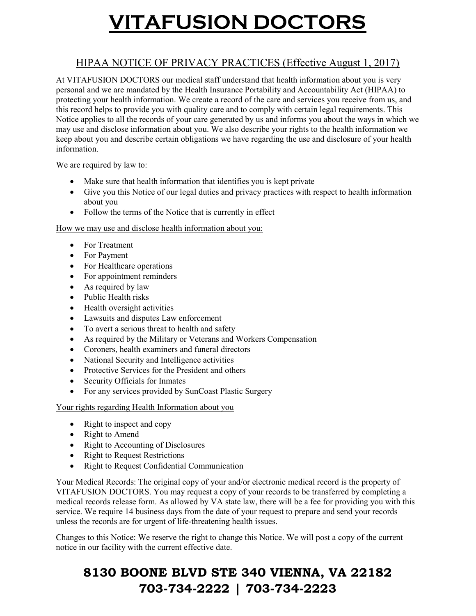# VITAFUSION DOCTORS

#### HIPAA NOTICE OF PRIVACY PRACTICES (Effective August 1, 2017)

At VITAFUSION DOCTORS our medical staff understand that health information about you is very personal and we are mandated by the Health Insurance Portability and Accountability Act (HIPAA) to protecting your health information. We create a record of the care and services you receive from us, and this record helps to provide you with quality care and to comply with certain legal requirements. This Notice applies to all the records of your care generated by us and informs you about the ways in which we may use and disclose information about you. We also describe your rights to the health information we keep about you and describe certain obligations we have regarding the use and disclosure of your health information.

#### We are required by law to:

- Make sure that health information that identifies you is kept private
- Give you this Notice of our legal duties and privacy practices with respect to health information about you
- Follow the terms of the Notice that is currently in effect

#### How we may use and disclose health information about you:

- For Treatment
- For Payment
- For Healthcare operations
- For appointment reminders
- As required by law
- Public Health risks
- Health oversight activities
- Lawsuits and disputes Law enforcement
- To avert a serious threat to health and safety
- As required by the Military or Veterans and Workers Compensation
- Coroners, health examiners and funeral directors
- National Security and Intelligence activities
- Protective Services for the President and others
- Security Officials for Inmates
- For any services provided by SunCoast Plastic Surgery

Your rights regarding Health Information about you

- Right to inspect and copy
- Right to Amend
- Right to Accounting of Disclosures
- Right to Request Restrictions
- Right to Request Confidential Communication

Your Medical Records: The original copy of your and/or electronic medical record is the property of VITAFUSION DOCTORS. You may request a copy of your records to be transferred by completing a medical records release form. As allowed by VA state law, there will be a fee for providing you with this service. We require 14 business days from the date of your request to prepare and send your records unless the records are for urgent of life-threatening health issues.

Changes to this Notice: We reserve the right to change this Notice. We will post a copy of the current notice in our facility with the current effective date.

### 8130 BOONE BLVD STE 340 VIENNA, VA 22182 703-734-2222 | 703-734-2223